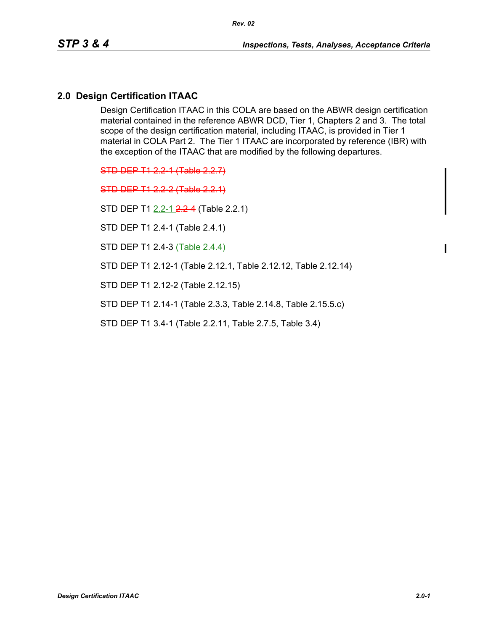## **2.0 Design Certification ITAAC**

Design Certification ITAAC in this COLA are based on the ABWR design certification material contained in the reference ABWR DCD, Tier 1, Chapters 2 and 3. The total scope of the design certification material, including ITAAC, is provided in Tier 1 material in COLA Part 2. The Tier 1 ITAAC are incorporated by reference (IBR) with the exception of the ITAAC that are modified by the following departures.

STD DEP T1 2.2-1 (Table 2.2.7)

STD DEP T1 2.2-2 (Table 2.2.1)

STD DEP T1 2.2-1 2.2-4 (Table 2.2.1)

STD DEP T1 2.4-1 (Table 2.4.1)

STD DEP T1 2.4-3 (Table 2.4.4)

STD DEP T1 2.12-1 (Table 2.12.1, Table 2.12.12, Table 2.12.14)

STD DEP T1 2.12-2 (Table 2.12.15)

STD DEP T1 2.14-1 (Table 2.3.3, Table 2.14.8, Table 2.15.5.c)

STD DEP T1 3.4-1 (Table 2.2.11, Table 2.7.5, Table 3.4)

Ι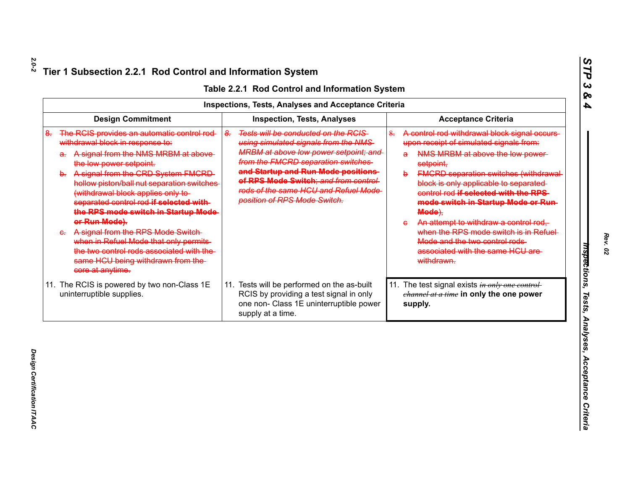|    |                                                                                                                                                                                                                                                                                                                                                                                                                                                                                                                                                                             |                    | <b>Inspections, Tests, Analyses and Acceptance Criteria</b>                                                                                                                                                                                                                                                                       |    |                                                                                                                                                                                                                                                                                                                                                                                                                                                                                                                             |
|----|-----------------------------------------------------------------------------------------------------------------------------------------------------------------------------------------------------------------------------------------------------------------------------------------------------------------------------------------------------------------------------------------------------------------------------------------------------------------------------------------------------------------------------------------------------------------------------|--------------------|-----------------------------------------------------------------------------------------------------------------------------------------------------------------------------------------------------------------------------------------------------------------------------------------------------------------------------------|----|-----------------------------------------------------------------------------------------------------------------------------------------------------------------------------------------------------------------------------------------------------------------------------------------------------------------------------------------------------------------------------------------------------------------------------------------------------------------------------------------------------------------------------|
|    | <b>Design Commitment</b>                                                                                                                                                                                                                                                                                                                                                                                                                                                                                                                                                    |                    | <b>Inspection, Tests, Analyses</b>                                                                                                                                                                                                                                                                                                |    | <b>Acceptance Criteria</b>                                                                                                                                                                                                                                                                                                                                                                                                                                                                                                  |
| ୫. | The RCIS provides an automatic control rod-<br>withdrawal block in response to:<br>a. A signal from the NMS MRBM at above<br>the low power setpoint.<br>b. A signal from the CRD System FMCRD-<br>hollow piston/ball nut separation switches<br>(withdrawal block applies only to-<br>separated control rod if selected with-<br>the RPS mode switch in Startup Mode-<br>or Run Mode).<br>A signal from the RPS Mode Switch-<br>when in Refuel Mode that only permits<br>the two control rods associated with the<br>same HCU being withdrawn from the-<br>core at anytime. | $\frac{2}{\sigma}$ | <b>Tests will be conducted on the RCIS-</b><br>using simulated signals from the NMS<br><b>MRBM at above low power setpoint; and</b><br>from the FMCRD separation switches-<br>and Startup and Run Mode positions<br>of RPS Mode Switch; and from control-<br>rods of the same HCU and Refuel Mode<br>position of RPS Mode Switch. | 8. | A control rod withdrawal block signal occurs-<br>upon receipt of simulated signals from:<br>NMS MRBM at above the low power-<br>a<br>setpoint,<br><b>FMCRD separation switches (withdrawal</b><br>b<br>block is only applicable to separated-<br>control rod if selected with the RPS<br>mode switch in Startup Mode or Run-<br>Mode),<br>An attempt to withdraw a control rod,<br>$\epsilon$<br>when the RPS mode switch is in Refuel-<br>Mode and the two control rods-<br>associated with the same HCU are<br>withdrawn. |
|    | 11. The RCIS is powered by two non-Class 1E<br>uninterruptible supplies.                                                                                                                                                                                                                                                                                                                                                                                                                                                                                                    |                    | 11. Tests will be performed on the as-built<br>RCIS by providing a test signal in only<br>one non- Class 1E uninterruptible power<br>supply at a time.                                                                                                                                                                            |    | 11. The test signal exists in only one control-<br>channel at a time in only the one power<br>supply.                                                                                                                                                                                                                                                                                                                                                                                                                       |

*Design Certification ITAAC* 

Design Certification ITAAC

*STP 3 & 4*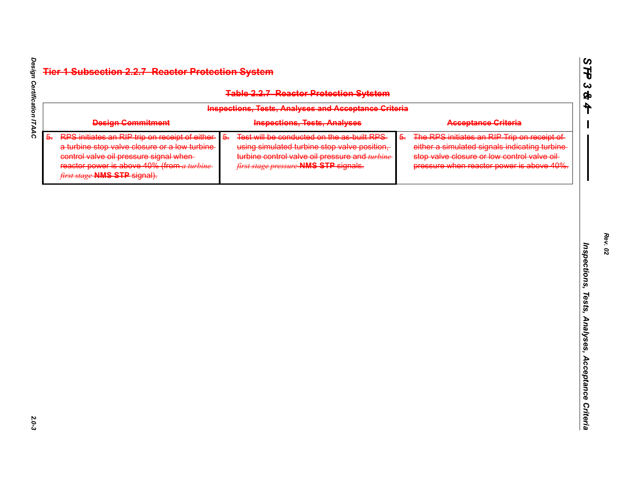|    |                                                                                                                                                                                                                             |    | <b>Table 2.2.7 Reactor Protection Sytstem</b>                                                                                                                                         |                  |                                                                                                                                                                                           |
|----|-----------------------------------------------------------------------------------------------------------------------------------------------------------------------------------------------------------------------------|----|---------------------------------------------------------------------------------------------------------------------------------------------------------------------------------------|------------------|-------------------------------------------------------------------------------------------------------------------------------------------------------------------------------------------|
|    |                                                                                                                                                                                                                             |    | <b>Inspections, Tests, Analyses and Acceptance Criteria</b>                                                                                                                           |                  |                                                                                                                                                                                           |
|    | <b>Design Commitment</b>                                                                                                                                                                                                    |    | <b>Inspections, Tests, Analyses</b>                                                                                                                                                   |                  | <b>Acceptance Criteria</b>                                                                                                                                                                |
| 5. | RPS initiates an RIP trip on receipt of either<br>a turbine stop valve closure or a low turbine<br>control valve oil pressure signal when-<br>reactor power is above $40\%$ (from a turbine<br>first stage NMS STP signal). | 5. | Test will be conducted on the as-built RPS<br>using simulated turbine stop valve position,<br>turbine control valve oil pressure and turbine<br>first stage pressure NMS STP signals. | $\overline{6}$ . | The RPS initiates an RIP Trip on receipt of<br>either a simulated signals indicating turbine<br>stop valve closure or low control valve oil-<br>pressure when reactor power is above 40%. |
|    |                                                                                                                                                                                                                             |    |                                                                                                                                                                                       |                  |                                                                                                                                                                                           |
|    |                                                                                                                                                                                                                             |    |                                                                                                                                                                                       |                  |                                                                                                                                                                                           |
|    |                                                                                                                                                                                                                             |    |                                                                                                                                                                                       |                  |                                                                                                                                                                                           |
|    |                                                                                                                                                                                                                             |    |                                                                                                                                                                                       |                  |                                                                                                                                                                                           |
|    |                                                                                                                                                                                                                             |    |                                                                                                                                                                                       |                  |                                                                                                                                                                                           |

*Rev. 02*

*STP 3 & 4*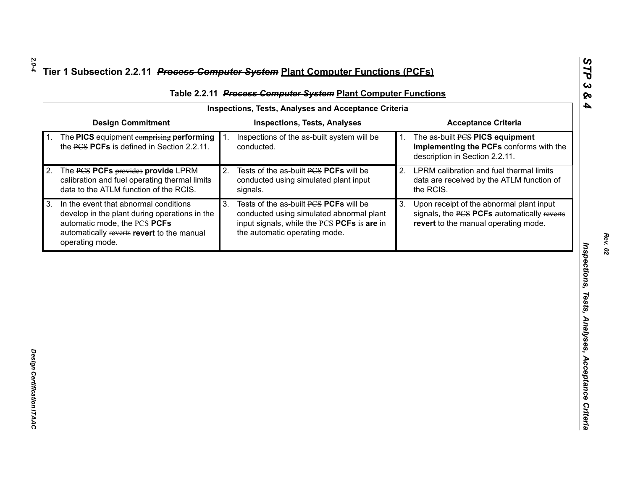| <b>Design Commitment</b><br><b>Inspections, Tests, Analyses</b><br><b>Acceptance Criteria</b><br>The PICS equipment comprising performing<br>Inspections of the as-built system will be<br>The as-built PCS PICS equipment<br>1.<br>1.<br>the PCS PCFs is defined in Section 2.2.11.<br>conducted.<br>description in Section 2.2.11.<br>LPRM calibration and fuel thermal limits<br>Tests of the as-built PCS PCFs will be<br>2.<br>The PCS PCFs provides provide LPRM<br>2.<br>calibration and fuel operating thermal limits<br>conducted using simulated plant input<br>data to the ATLM function of the RCIS.<br>the RCIS.<br>signals.<br>In the event that abnormal conditions<br>Tests of the as-built PCS PCFs will be<br>3.<br>Upon receipt of the abnormal plant input<br>3 <sub>l</sub><br>conducted using simulated abnormal plant<br>develop in the plant during operations in the<br>automatic mode, the PCS PCFs<br>input signals, while the PCS PCFs is are in<br>revert to the manual operating mode. |                                            | <b>Inspections, Tests, Analyses and Acceptance Criteria</b> |                                             |
|----------------------------------------------------------------------------------------------------------------------------------------------------------------------------------------------------------------------------------------------------------------------------------------------------------------------------------------------------------------------------------------------------------------------------------------------------------------------------------------------------------------------------------------------------------------------------------------------------------------------------------------------------------------------------------------------------------------------------------------------------------------------------------------------------------------------------------------------------------------------------------------------------------------------------------------------------------------------------------------------------------------------|--------------------------------------------|-------------------------------------------------------------|---------------------------------------------|
|                                                                                                                                                                                                                                                                                                                                                                                                                                                                                                                                                                                                                                                                                                                                                                                                                                                                                                                                                                                                                      |                                            |                                                             |                                             |
|                                                                                                                                                                                                                                                                                                                                                                                                                                                                                                                                                                                                                                                                                                                                                                                                                                                                                                                                                                                                                      |                                            |                                                             | implementing the PCFs conforms with the     |
|                                                                                                                                                                                                                                                                                                                                                                                                                                                                                                                                                                                                                                                                                                                                                                                                                                                                                                                                                                                                                      |                                            |                                                             | data are received by the ATLM function of   |
| operating mode.                                                                                                                                                                                                                                                                                                                                                                                                                                                                                                                                                                                                                                                                                                                                                                                                                                                                                                                                                                                                      | automatically reverts revert to the manual | the automatic operating mode.                               | signals, the PCS PCFs automatically reverts |
|                                                                                                                                                                                                                                                                                                                                                                                                                                                                                                                                                                                                                                                                                                                                                                                                                                                                                                                                                                                                                      |                                            |                                                             |                                             |
|                                                                                                                                                                                                                                                                                                                                                                                                                                                                                                                                                                                                                                                                                                                                                                                                                                                                                                                                                                                                                      |                                            |                                                             |                                             |
|                                                                                                                                                                                                                                                                                                                                                                                                                                                                                                                                                                                                                                                                                                                                                                                                                                                                                                                                                                                                                      |                                            |                                                             |                                             |
|                                                                                                                                                                                                                                                                                                                                                                                                                                                                                                                                                                                                                                                                                                                                                                                                                                                                                                                                                                                                                      |                                            |                                                             |                                             |
|                                                                                                                                                                                                                                                                                                                                                                                                                                                                                                                                                                                                                                                                                                                                                                                                                                                                                                                                                                                                                      |                                            |                                                             |                                             |

*STP 3 & 4*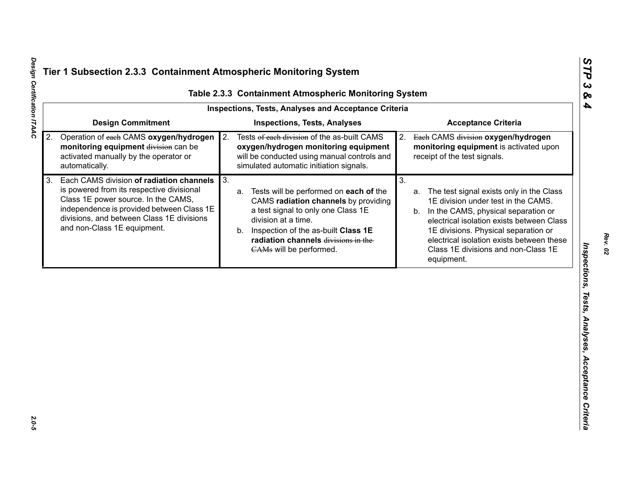|                                                                                                                                                                                                                                                             | <b>Inspections, Tests, Analyses and Acceptance Criteria</b>                                                                                                                                                                                                            |                                                                                                                                                                                                                                                                                                                                 |
|-------------------------------------------------------------------------------------------------------------------------------------------------------------------------------------------------------------------------------------------------------------|------------------------------------------------------------------------------------------------------------------------------------------------------------------------------------------------------------------------------------------------------------------------|---------------------------------------------------------------------------------------------------------------------------------------------------------------------------------------------------------------------------------------------------------------------------------------------------------------------------------|
| <b>Design Commitment</b>                                                                                                                                                                                                                                    | <b>Inspections, Tests, Analyses</b>                                                                                                                                                                                                                                    | <b>Acceptance Criteria</b>                                                                                                                                                                                                                                                                                                      |
| Operation of each CAMS oxygen/hydrogen<br>2.<br>monitoring equipment division can be<br>activated manually by the operator or<br>automatically.                                                                                                             | Tests of each division of the as-built CAMS<br>2.<br>oxygen/hydrogen monitoring equipment<br>will be conducted using manual controls and<br>simulated automatic initiation signals.                                                                                    | Each CAMS division oxygen/hydrogen<br>2.<br>monitoring equipment is activated upon<br>receipt of the test signals.                                                                                                                                                                                                              |
| Each CAMS division of radiation channels<br>3.<br>is powered from its respective divisional<br>Class 1E power source. In the CAMS,<br>independence is provided between Class 1E<br>divisions, and between Class 1E divisions<br>and non-Class 1E equipment. | 3.<br>Tests will be performed on each of the<br>a.<br>CAMS radiation channels by providing<br>a test signal to only one Class 1E<br>division at a time.<br>Inspection of the as-built Class 1E<br>b.<br>radiation channels divisions in the<br>CAMs will be performed. | 3.<br>The test signal exists only in the Class<br>a.<br>1E division under test in the CAMS.<br>In the CAMS, physical separation or<br>b.<br>electrical isolation exists between Class<br>1E divisions. Physical separation or<br>electrical isolation exists between these<br>Class 1E divisions and non-Class 1E<br>equipment. |

*STP 3 & 4*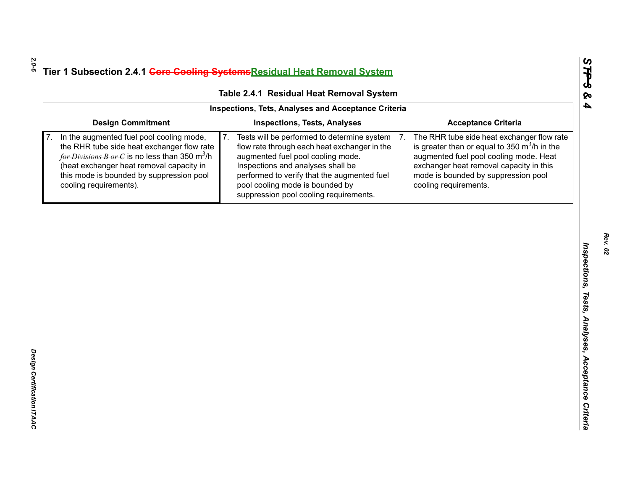| <b>Inspections, Tests, Analyses</b>                                                                                                                                                                                                                                                                                       |                                                                                                                                                                                                                                                             |
|---------------------------------------------------------------------------------------------------------------------------------------------------------------------------------------------------------------------------------------------------------------------------------------------------------------------------|-------------------------------------------------------------------------------------------------------------------------------------------------------------------------------------------------------------------------------------------------------------|
|                                                                                                                                                                                                                                                                                                                           | <b>Acceptance Criteria</b>                                                                                                                                                                                                                                  |
| 7 <sub>1</sub><br>Tests will be performed to determine system<br>7.<br>flow rate through each heat exchanger in the<br>augmented fuel pool cooling mode.<br>Inspections and analyses shall be<br>performed to verify that the augmented fuel<br>pool cooling mode is bounded by<br>suppression pool cooling requirements. | The RHR tube side heat exchanger flow rate<br>is greater than or equal to 350 $\mathrm{m}^3$ /h in the<br>augmented fuel pool cooling mode. Heat<br>exchanger heat removal capacity in this<br>mode is bounded by suppression pool<br>cooling requirements. |
|                                                                                                                                                                                                                                                                                                                           |                                                                                                                                                                                                                                                             |
|                                                                                                                                                                                                                                                                                                                           |                                                                                                                                                                                                                                                             |
|                                                                                                                                                                                                                                                                                                                           |                                                                                                                                                                                                                                                             |
|                                                                                                                                                                                                                                                                                                                           |                                                                                                                                                                                                                                                             |
|                                                                                                                                                                                                                                                                                                                           |                                                                                                                                                                                                                                                             |
|                                                                                                                                                                                                                                                                                                                           |                                                                                                                                                                                                                                                             |
|                                                                                                                                                                                                                                                                                                                           |                                                                                                                                                                                                                                                             |
|                                                                                                                                                                                                                                                                                                                           |                                                                                                                                                                                                                                                             |
|                                                                                                                                                                                                                                                                                                                           | the RHR tube side heat exchanger flow rate<br>for Divisions B or C is no less than 350 m <sup>3</sup> /h                                                                                                                                                    |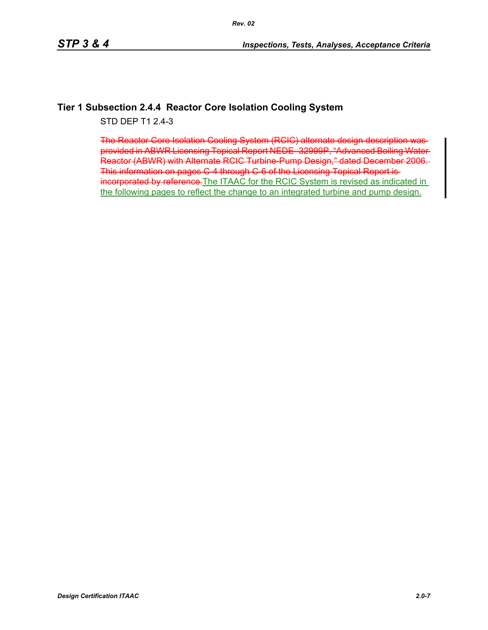## **Tier 1 Subsection 2.4.4 Reactor Core Isolation Cooling System**

STD DEP T1 2.4-3

The Reactor Core Isolation Cooling System (RCIC) alternate design description was provided in ABWR Licensing Topical Report NEDE- 32999P, "Advanced Boiling Water Reactor (ABWR) with Alternate RCIC Turbine-Pump Design," dated December 2006. This information on pages C-4 through C-6 of the Licensing Topical Report isincorporated by reference. The ITAAC for the RCIC System is revised as indicated in the following pages to reflect the change to an integrated turbine and pump design.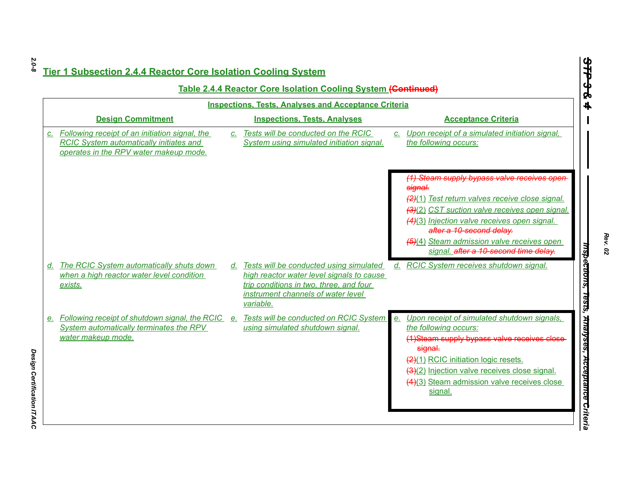|    |                                                                                                                                            |                 | <b>Table 2.4.4 Reactor Core Isolation Cooling System (Continued)</b>                                                                                                                  |         |                                                                                     |
|----|--------------------------------------------------------------------------------------------------------------------------------------------|-----------------|---------------------------------------------------------------------------------------------------------------------------------------------------------------------------------------|---------|-------------------------------------------------------------------------------------|
|    |                                                                                                                                            |                 | <b>Inspections, Tests, Analyses and Acceptance Criteria</b>                                                                                                                           |         |                                                                                     |
|    | <b>Design Commitment</b>                                                                                                                   |                 | <b>Inspections, Tests, Analyses</b>                                                                                                                                                   |         | <b>Acceptance Criteria</b>                                                          |
| C. | Following receipt of an initiation signal, the<br><b>RCIC System automatically initiates and</b><br>operates in the RPV water makeup mode. | $\mathcal{C}$ . | Tests will be conducted on the RCIC<br>System using simulated initiation signal.                                                                                                      |         | c. Upon receipt of a simulated initiation signal,<br>the following occurs:          |
|    |                                                                                                                                            |                 |                                                                                                                                                                                       |         | (1) Steam supply bypass valve receives open<br>signal.                              |
|    |                                                                                                                                            |                 |                                                                                                                                                                                       |         | (2)(1) Test return valves receive close signal.                                     |
|    |                                                                                                                                            |                 |                                                                                                                                                                                       |         | (3)(2) CST suction valve receives open signal.                                      |
|    |                                                                                                                                            |                 |                                                                                                                                                                                       |         | (4)(3) Injection valve receives open signal.<br>after a 10-second delay.            |
|    |                                                                                                                                            |                 |                                                                                                                                                                                       |         | (5)(4) Steam admission valve receives open<br>signal. after a 10-second time delay. |
|    | d. The RCIC System automatically shuts down<br>when a high reactor water level condition<br>exists.                                        |                 | d. Tests will be conducted using simulated<br>high reactor water level signals to cause<br>trip conditions in two, three, and four<br>instrument channels of water level<br>variable. |         | d. RCIC System receives shutdown signal.                                            |
|    | e. Following receipt of shutdown signal, the RCIC e. Tests will be conducted on RCIC System                                                |                 |                                                                                                                                                                                       | $e_{i}$ | Upon receipt of simulated shutdown signals,                                         |
|    | System automatically terminates the RPV<br>water makeup mode.                                                                              |                 | using simulated shutdown signal.                                                                                                                                                      |         | the following occurs:<br>(1)Steam supply bypass valve receives close<br>signal.     |
|    |                                                                                                                                            |                 |                                                                                                                                                                                       |         | (2)(1) RCIC initiation logic resets.                                                |
|    |                                                                                                                                            |                 |                                                                                                                                                                                       |         | (3)(2) Injection valve receives close signal.                                       |
|    |                                                                                                                                            |                 |                                                                                                                                                                                       |         | (4)(3) Steam admission valve receives close<br>signal.                              |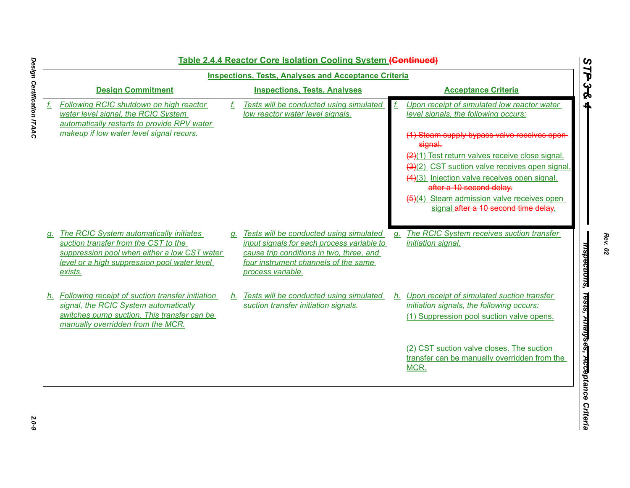|    |                                                                                                                                                                                               |    | <u>Table 2.4.4 Reactor Core Isolation Cooling System (Continued)</u>                                                                                                                              |    |                                                                                                                                         |
|----|-----------------------------------------------------------------------------------------------------------------------------------------------------------------------------------------------|----|---------------------------------------------------------------------------------------------------------------------------------------------------------------------------------------------------|----|-----------------------------------------------------------------------------------------------------------------------------------------|
|    |                                                                                                                                                                                               |    | <b>Inspections, Tests, Analyses and Acceptance Criteria</b>                                                                                                                                       |    |                                                                                                                                         |
|    | <b>Design Commitment</b>                                                                                                                                                                      |    | <b>Inspections, Tests, Analyses</b>                                                                                                                                                               |    | <b>Acceptance Criteria</b>                                                                                                              |
| f. | Following RCIC shutdown on high reactor<br>water level signal, the RCIC System<br>automatically restarts to provide RPV water                                                                 | f. | Tests will be conducted using simulated<br>low reactor water level signals.                                                                                                                       |    | Upon receipt of simulated low reactor water<br>level signals, the following occurs:                                                     |
|    | makeup if low water level signal recurs.                                                                                                                                                      |    |                                                                                                                                                                                                   |    | (1) Steam supply bypass valve receives open<br>signal.                                                                                  |
|    |                                                                                                                                                                                               |    |                                                                                                                                                                                                   |    | (2)(1) Test return valves receive close signal.                                                                                         |
|    |                                                                                                                                                                                               |    |                                                                                                                                                                                                   |    | (3)(2) CST suction valve receives open signal.                                                                                          |
|    |                                                                                                                                                                                               |    |                                                                                                                                                                                                   |    | (4)(3) Injection valve receives open signal.<br>after a 10 second delay.                                                                |
|    |                                                                                                                                                                                               |    |                                                                                                                                                                                                   |    | (5)(4) Steam admission valve receives open<br>signal after a 10 second time delay.                                                      |
|    | g. The RCIC System automatically initiates<br>suction transfer from the CST to the<br>suppression pool when either a low CST water<br>level or a high suppression pool water level<br>exists. |    | g. Tests will be conducted using simulated<br>input signals for each process variable to<br>cause trip conditions in two, three, and<br>four instrument channels of the same<br>process variable. | a. | The RCIC System receives suction transfer<br>initiation signal.                                                                         |
|    | h. Following receipt of suction transfer initiation<br>signal, the RCIC System automatically<br>switches pump suction. This transfer can be<br>manually overridden from the MCR.              |    | h. Tests will be conducted using simulated<br>suction transfer initiation signals.                                                                                                                |    | h. Upon receipt of simulated suction transfer<br>initiation signals, the following occurs:<br>(1) Suppression pool suction valve opens. |
|    |                                                                                                                                                                                               |    |                                                                                                                                                                                                   |    | (2) CST suction valve closes. The suction<br>transfer can be manually overridden from the<br>MCR.                                       |

*Rev. 02*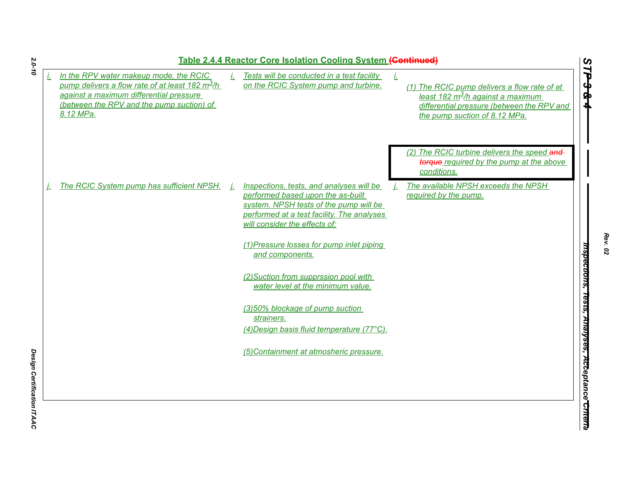|                                                                                                                                                                                                  | Table 2.4.4 Reactor Core Isolation Cooling System (Continued)                                                                                              |    |                                                                                                                                                                              |       |
|--------------------------------------------------------------------------------------------------------------------------------------------------------------------------------------------------|------------------------------------------------------------------------------------------------------------------------------------------------------------|----|------------------------------------------------------------------------------------------------------------------------------------------------------------------------------|-------|
| In the RPV water makeup mode, the RCIC<br>pump delivers a flow rate of at least 182 $m^2/h$<br>against a maximum differential pressure<br>(between the RPV and the pump suction) of<br>8.12 MPa. | Tests will be conducted in a test facility<br>on the RCIC System pump and turbine.                                                                         | Ť. | (1) The RCIC pump delivers a flow rate of at<br>least 182 m <sup>3</sup> /h against a maximum<br>differential pressure (between the RPV and<br>the pump suction of 8.12 MPa. | TP3&4 |
| The RCIC System pump has sufficient NPSH.                                                                                                                                                        | Inspections, tests, and analyses will be                                                                                                                   |    | (2) The RCIC turbine delivers the speed and<br>torque required by the pump at the above<br>conditions.<br>The available NPSH exceeds the NPSH                                |       |
|                                                                                                                                                                                                  | performed based upon the as-built<br>system. NPSH tests of the pump will be<br>performed at a test facility. The analyses<br>will consider the effects of: |    | required by the pump.                                                                                                                                                        |       |
|                                                                                                                                                                                                  | (1) Pressure losses for pump inlet piping<br>and components.<br>(2) Suction from supprssion pool with                                                      |    |                                                                                                                                                                              |       |
|                                                                                                                                                                                                  | water level at the minimum value.<br>(3)50% blockage of pump suction                                                                                       |    |                                                                                                                                                                              |       |
|                                                                                                                                                                                                  | strainers.<br>(4) Design basis fluid temperature (77°C).                                                                                                   |    |                                                                                                                                                                              |       |
|                                                                                                                                                                                                  | (5) Containment at atmosheric pressure.                                                                                                                    |    |                                                                                                                                                                              |       |
|                                                                                                                                                                                                  |                                                                                                                                                            |    |                                                                                                                                                                              |       |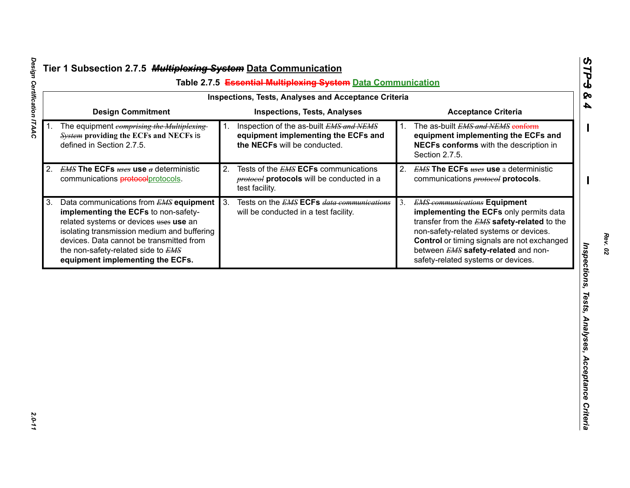| <b>Design Commitment</b><br><b>Inspections, Tests, Analyses</b><br><b>Acceptance Criteria</b><br>The as-built EMS and NEMS conform<br>Inspection of the as-built EMS and NEMS<br>The equipment comprising the Multiplexing<br><b>System providing the ECFs and NECFs is</b><br>equipment implementing the ECFs and<br>equipment implementing the ECFs and<br>defined in Section 2.7.5.<br>the NECFs will be conducted.<br>NECFs conforms with the description in<br>Section 2.7.5.<br><b>EMS The ECFs <math>_{t,\text{sc}}</math> use <math>_{a}</math> deterministic</b><br>Tests of the <b>EMS ECFs</b> communications<br><b>EMS The ECFs <math>_{t \text{t} s \text{t} s \text{c}}</math> use</b> a deterministic<br>2.<br>2.<br><b>protocol</b> protocols will be conducted in a<br>communications protocols ommunications<br>communications <b>protocol</b> protocols.<br>test facility.<br>Tests on the <b>EMS ECFs</b> data communications<br>Data communications from <b>EMS</b> equipment<br>3.<br><b>EMS</b> communications Equipment |  |
|-------------------------------------------------------------------------------------------------------------------------------------------------------------------------------------------------------------------------------------------------------------------------------------------------------------------------------------------------------------------------------------------------------------------------------------------------------------------------------------------------------------------------------------------------------------------------------------------------------------------------------------------------------------------------------------------------------------------------------------------------------------------------------------------------------------------------------------------------------------------------------------------------------------------------------------------------------------------------------------------------------------------------------------------------|--|
| 1.<br>2.<br>3.                                                                                                                                                                                                                                                                                                                                                                                                                                                                                                                                                                                                                                                                                                                                                                                                                                                                                                                                                                                                                                  |  |
|                                                                                                                                                                                                                                                                                                                                                                                                                                                                                                                                                                                                                                                                                                                                                                                                                                                                                                                                                                                                                                                 |  |
|                                                                                                                                                                                                                                                                                                                                                                                                                                                                                                                                                                                                                                                                                                                                                                                                                                                                                                                                                                                                                                                 |  |
| implementing the ECFs to non-safety-<br>implementing the ECFs only permits data<br>will be conducted in a test facility.<br>related systems or devices uses use an<br>transfer from the EMS safety-related to the<br>isolating transmission medium and buffering<br>non-safety-related systems or devices.<br>devices. Data cannot be transmitted from<br>Control or timing signals are not exchanged<br>between EMS safety-related and non-<br>the non-safety-related side to EMS<br>safety-related systems or devices.<br>equipment implementing the ECFs.                                                                                                                                                                                                                                                                                                                                                                                                                                                                                    |  |

Design Certification ITAAC *Design Certification ITAAC 2.0-11*

*Rev. 02*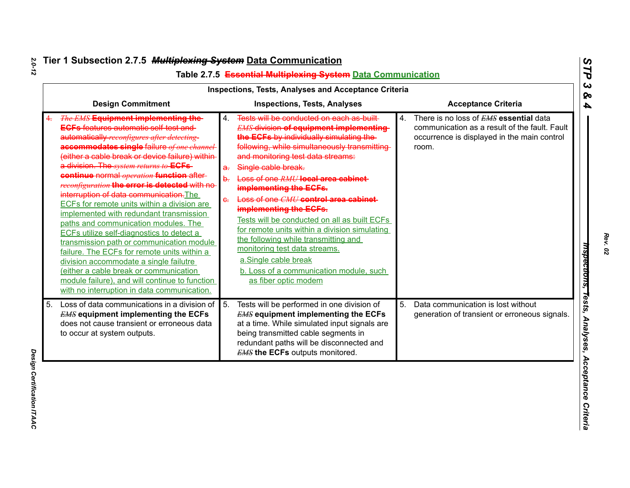|                  |                                                                                                                                                                                                                                                                                                                                                                                                                                                                                                                                                                                                                                                                                                                                                                                                                                                                                                      |                           | Inspections, Tests, Analyses and Acceptance Criteria                                                                                                                                                                                                                                                                                                                                                                                                                                                                                                                                                                                                     |    |                                                                                                                                                        |
|------------------|------------------------------------------------------------------------------------------------------------------------------------------------------------------------------------------------------------------------------------------------------------------------------------------------------------------------------------------------------------------------------------------------------------------------------------------------------------------------------------------------------------------------------------------------------------------------------------------------------------------------------------------------------------------------------------------------------------------------------------------------------------------------------------------------------------------------------------------------------------------------------------------------------|---------------------------|----------------------------------------------------------------------------------------------------------------------------------------------------------------------------------------------------------------------------------------------------------------------------------------------------------------------------------------------------------------------------------------------------------------------------------------------------------------------------------------------------------------------------------------------------------------------------------------------------------------------------------------------------------|----|--------------------------------------------------------------------------------------------------------------------------------------------------------|
|                  | <b>Design Commitment</b>                                                                                                                                                                                                                                                                                                                                                                                                                                                                                                                                                                                                                                                                                                                                                                                                                                                                             |                           | <b>Inspections, Tests, Analyses</b>                                                                                                                                                                                                                                                                                                                                                                                                                                                                                                                                                                                                                      |    | <b>Acceptance Criteria</b>                                                                                                                             |
|                  | <b>The EMS Equipment implementing the-</b><br><b>ECFs features automatic self-test and</b><br>automatically reconfigures after detecting<br>accommodates single failure of one channel<br>(either a cable break or device failure) within<br>a division. The system returns to ECFs-<br>continue normal <i>operation</i> function after-<br>reconfiguration the error is detected with no<br>interruption of data communication. The<br>ECFs for remote units within a division are<br>implemented with redundant transmission<br>paths and communication modules. The<br>ECFs utilize self-diagnostics to detect a<br>transmission path or communication module<br>failure. The ECFs for remote units within a<br>division accommodate a single failutre<br>(either a cable break or communication<br>module failure), and will continue to function<br>with no interruption in data communication. | 4.<br>a.<br>$\frac{1}{2}$ | Tests will be conducted on each as-built-<br><b>EMS division of equipment implementing</b><br>the ECFs by individually simulating the<br>following, while simultaneously transmitting<br>and monitoring test data streams:<br>Single cable break.<br>Loss of one RMU local area cabinet<br>implementing the ECFs.<br>Loss of one CMU control area cabinet<br>implementing the ECFs.<br>Tests will be conducted on all as built ECFs<br>for remote units within a division simulating<br>the following while transmitting and<br>monitoring test data streams.<br>a.Single cable break<br>b. Loss of a communication module, such<br>as fiber optic modem | 4. | There is no loss of <b>EMS</b> essential data<br>communication as a result of the fault. Fault<br>occurrence is displayed in the main control<br>room. |
| $\overline{5}$ . | Loss of data communications in a division of<br><b>EMS</b> equipment implementing the ECFs<br>does not cause transient or erroneous data<br>to occur at system outputs.                                                                                                                                                                                                                                                                                                                                                                                                                                                                                                                                                                                                                                                                                                                              | 5.                        | Tests will be performed in one division of<br><b>EMS</b> equipment implementing the ECFs<br>at a time. While simulated input signals are<br>being transmitted cable segments in<br>redundant paths will be disconnected and<br><b>EMS the ECFs</b> outputs monitored.                                                                                                                                                                                                                                                                                                                                                                                    | 5. | Data communication is lost without<br>generation of transient or erroneous signals.                                                                    |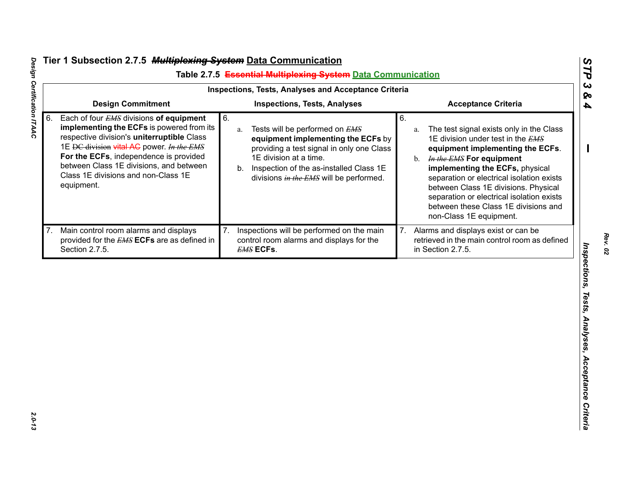|                                                                                                                                                                                                                                                                                                                                       | Table 2.7.5 Essential Multiplexing System Data Communication<br>Inspections, Tests, Analyses and Acceptance Criteria                                                                                                                                 |                                                                                                                                                                                                                                                                                                                                                                                                             |
|---------------------------------------------------------------------------------------------------------------------------------------------------------------------------------------------------------------------------------------------------------------------------------------------------------------------------------------|------------------------------------------------------------------------------------------------------------------------------------------------------------------------------------------------------------------------------------------------------|-------------------------------------------------------------------------------------------------------------------------------------------------------------------------------------------------------------------------------------------------------------------------------------------------------------------------------------------------------------------------------------------------------------|
| <b>Design Commitment</b>                                                                                                                                                                                                                                                                                                              | <b>Inspections, Tests, Analyses</b>                                                                                                                                                                                                                  | <b>Acceptance Criteria</b>                                                                                                                                                                                                                                                                                                                                                                                  |
| Each of four EMS divisions of equipment<br>6.<br>6.<br>implementing the ECFs is powered from its<br>respective division's uniterruptible Class<br>1E DC division vital AC power. In the EMS<br>For the ECFs, independence is provided<br>between Class 1E divisions, and between<br>Class 1E divisions and non-Class 1E<br>equipment. | Tests will be performed on EMS<br>a.<br>equipment implementing the ECFs by<br>providing a test signal in only one Class<br>1E division at a time.<br>Inspection of the as-installed Class 1E<br>b.<br>divisions <i>in the EMS</i> will be performed. | 6.<br>The test signal exists only in the Class<br>a.<br>1E division under test in the EMS<br>equipment implementing the ECFs.<br>b. <i>In the EMS</i> For equipment<br>implementing the ECFs, physical<br>separation or electrical isolation exists<br>between Class 1E divisions. Physical<br>separation or electrical isolation exists<br>between these Class 1E divisions and<br>non-Class 1E equipment. |
| Main control room alarms and displays<br>provided for the <b>EMS ECFs</b> are as defined in<br>Section 2.7.5.                                                                                                                                                                                                                         | Inspections will be performed on the main<br>control room alarms and displays for the<br><b>EMS ECFs.</b>                                                                                                                                            | Alarms and displays exist or can be<br>retrieved in the main control room as defined<br>in Section 2.7.5.                                                                                                                                                                                                                                                                                                   |
|                                                                                                                                                                                                                                                                                                                                       |                                                                                                                                                                                                                                                      |                                                                                                                                                                                                                                                                                                                                                                                                             |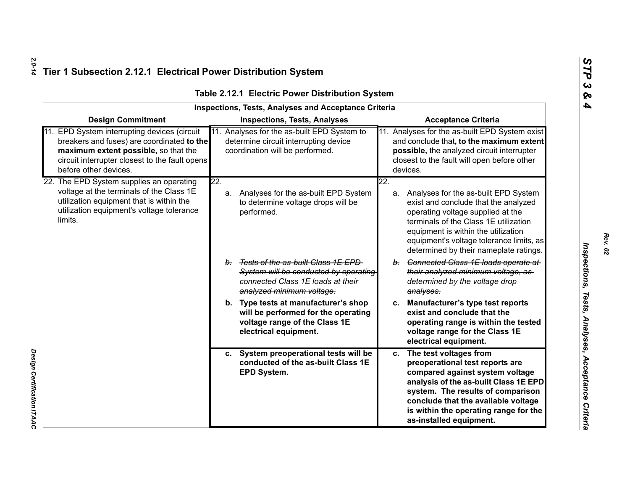*Design Certification ITAAC* 

Design Certification ITAAC

|     |                                                                                                                                                                                                           |                                                                                 | <b>Inspections, Tests, Analyses and Acceptance Criteria</b>                                                      |     |                                                                                                                                                                                                                                                                                         |
|-----|-----------------------------------------------------------------------------------------------------------------------------------------------------------------------------------------------------------|---------------------------------------------------------------------------------|------------------------------------------------------------------------------------------------------------------|-----|-----------------------------------------------------------------------------------------------------------------------------------------------------------------------------------------------------------------------------------------------------------------------------------------|
|     | <b>Design Commitment</b>                                                                                                                                                                                  |                                                                                 | <b>Inspections, Tests, Analyses</b>                                                                              |     | <b>Acceptance Criteria</b>                                                                                                                                                                                                                                                              |
| 11. | EPD System interrupting devices (circuit<br>breakers and fuses) are coordinated to the<br>maximum extent possible, so that the<br>circuit interrupter closest to the fault opens<br>before other devices. | 11.<br>determine circuit interrupting device<br>coordination will be performed. | Analyses for the as-built EPD System to                                                                          |     | 11. Analyses for the as-built EPD System exist<br>and conclude that, to the maximum extent<br>possible, the analyzed circuit interrupter<br>closest to the fault will open before other<br>devices.                                                                                     |
|     | 22. The EPD System supplies an operating                                                                                                                                                                  | 22.                                                                             |                                                                                                                  | 22. |                                                                                                                                                                                                                                                                                         |
|     | voltage at the terminals of the Class 1E<br>utilization equipment that is within the<br>utilization equipment's voltage tolerance<br>limits.                                                              | а.<br>performed.                                                                | Analyses for the as-built EPD System<br>to determine voltage drops will be                                       | a.  | Analyses for the as-built EPD System<br>exist and conclude that the analyzed<br>operating voltage supplied at the<br>terminals of the Class 1E utilization<br>equipment is within the utilization<br>equipment's voltage tolerance limits, as<br>determined by their nameplate ratings. |
|     |                                                                                                                                                                                                           | b <sub>1</sub><br>analyzed minimum voltage.                                     | Tests of the as-built Class 1E EPD<br>System will be conducted by operating<br>connected Class 1E loads at their | b.  | Connected Class 1E loads operate at<br>their analyzed minimum voltage, as-<br>determined by the voltage drop-<br>analyses.                                                                                                                                                              |
|     |                                                                                                                                                                                                           | b.<br>electrical equipment.                                                     | Type tests at manufacturer's shop<br>will be performed for the operating<br>voltage range of the Class 1E        | c.  | Manufacturer's type test reports<br>exist and conclude that the<br>operating range is within the tested<br>voltage range for the Class 1E<br>electrical equipment.                                                                                                                      |
|     |                                                                                                                                                                                                           | C.<br>EPD System.                                                               | System preoperational tests will be<br>conducted of the as-built Class 1E                                        | c.  | The test voltages from<br>preoperational test reports are<br>compared against system voltage<br>analysis of the as-built Class 1E EPD<br>system. The results of comparison<br>conclude that the available voltage<br>is within the operating range for the<br>as-installed equipment.   |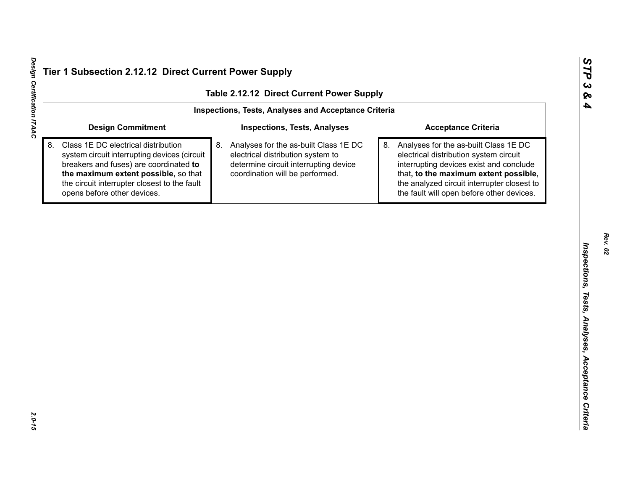| <b>Design Commitment</b><br><b>Inspections, Tests, Analyses</b><br><b>Acceptance Criteria</b><br>Class 1E DC electrical distribution<br>8.<br>Analyses for the as-built Class 1E DC<br>Analyses for the as-built Class 1E DC<br>8.<br>system circuit interrupting devices (circuit<br>electrical distribution system to<br>electrical distribution system circuit<br>determine circuit interrupting device<br>interrupting devices exist and conclude<br>breakers and fuses) are coordinated to |
|-------------------------------------------------------------------------------------------------------------------------------------------------------------------------------------------------------------------------------------------------------------------------------------------------------------------------------------------------------------------------------------------------------------------------------------------------------------------------------------------------|
|                                                                                                                                                                                                                                                                                                                                                                                                                                                                                                 |
| the maximum extent possible, so that<br>coordination will be performed.<br>that, to the maximum extent possible,<br>the analyzed circuit interrupter closest to<br>the circuit interrupter closest to the fault<br>opens before other devices.<br>the fault will open before other devices.                                                                                                                                                                                                     |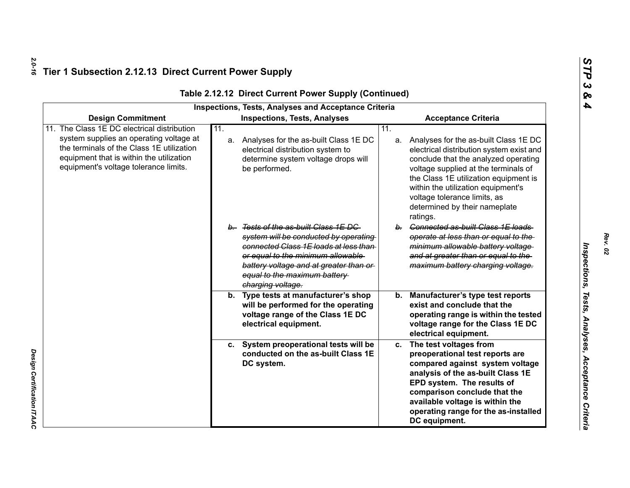*Design Certification ITAAC* 

|                                                                                                                                                                                                                      | <b>Inspections, Tests, Analyses and Acceptance Criteria</b>                                                                                                                                                                                                |                                                                                                                                                                                                                                                                                                                                         |
|----------------------------------------------------------------------------------------------------------------------------------------------------------------------------------------------------------------------|------------------------------------------------------------------------------------------------------------------------------------------------------------------------------------------------------------------------------------------------------------|-----------------------------------------------------------------------------------------------------------------------------------------------------------------------------------------------------------------------------------------------------------------------------------------------------------------------------------------|
| <b>Design Commitment</b>                                                                                                                                                                                             | <b>Inspections, Tests, Analyses</b>                                                                                                                                                                                                                        | <b>Acceptance Criteria</b>                                                                                                                                                                                                                                                                                                              |
| The Class 1E DC electrical distribution<br>system supplies an operating voltage at<br>the terminals of the Class 1E utilization<br>equipment that is within the utilization<br>equipment's voltage tolerance limits. | 11.<br>a. Analyses for the as-built Class 1E DC<br>electrical distribution system to<br>determine system voltage drops will<br>be performed.                                                                                                               | 11.<br>a. Analyses for the as-built Class 1E DC<br>electrical distribution system exist and<br>conclude that the analyzed operating<br>voltage supplied at the terminals of<br>the Class 1E utilization equipment is<br>within the utilization equipment's<br>voltage tolerance limits, as<br>determined by their nameplate<br>ratings. |
|                                                                                                                                                                                                                      | b. Tests of the as-built Class 1E DC<br>system will be conducted by operating<br>connected Class 1E loads at less than<br>or equal to the minimum allowable<br>battery voltage and at greater than or<br>equal to the maximum battery<br>charging voltage. | b. Connected as-built Class 1E loads<br>operate at less than or equal to the<br>minimum allowable battery voltage<br>and at greater than or equal to the<br>maximum battery charging voltage.                                                                                                                                           |
|                                                                                                                                                                                                                      | b. Type tests at manufacturer's shop<br>will be performed for the operating<br>voltage range of the Class 1E DC<br>electrical equipment.                                                                                                                   | Manufacturer's type test reports<br>b.<br>exist and conclude that the<br>operating range is within the tested<br>voltage range for the Class 1E DC<br>electrical equipment.                                                                                                                                                             |
|                                                                                                                                                                                                                      | c. System preoperational tests will be<br>conducted on the as-built Class 1E<br>DC system.                                                                                                                                                                 | The test voltages from<br>c.<br>preoperational test reports are<br>compared against system voltage<br>analysis of the as-built Class 1E<br>EPD system. The results of<br>comparison conclude that the<br>available voltage is within the<br>operating range for the as-installed<br>DC equipment.                                       |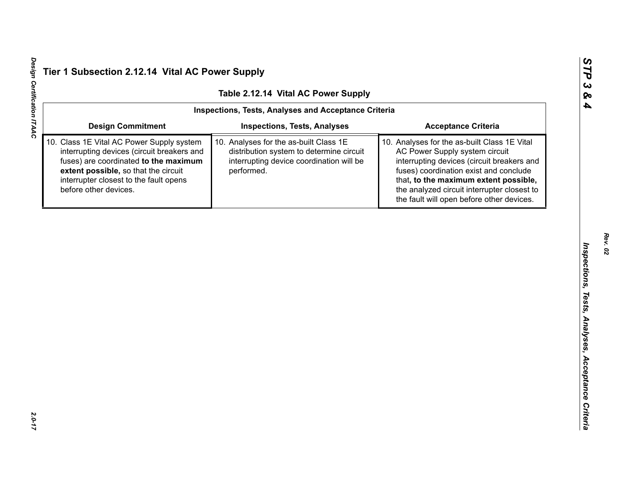|                                                                                                                                                                                                                                                                                                                                                                                                                                                                            | Inspections, Tests, Analyses and Acceptance Criteria |                                     |                                                                                                                                                                                                                              |  |
|----------------------------------------------------------------------------------------------------------------------------------------------------------------------------------------------------------------------------------------------------------------------------------------------------------------------------------------------------------------------------------------------------------------------------------------------------------------------------|------------------------------------------------------|-------------------------------------|------------------------------------------------------------------------------------------------------------------------------------------------------------------------------------------------------------------------------|--|
|                                                                                                                                                                                                                                                                                                                                                                                                                                                                            | <b>Design Commitment</b>                             | <b>Inspections, Tests, Analyses</b> | <b>Acceptance Criteria</b>                                                                                                                                                                                                   |  |
| 10. Class 1E Vital AC Power Supply system<br>10. Analyses for the as-built Class 1E<br>interrupting devices (circuit breakers and<br>distribution system to determine circuit<br>AC Power Supply system circuit<br>fuses) are coordinated to the maximum<br>interrupting device coordination will be<br>extent possible, so that the circuit<br>performed.<br>interrupter closest to the fault opens<br>before other devices.<br>the fault will open before other devices. |                                                      |                                     | 10. Analyses for the as-built Class 1E Vital<br>interrupting devices (circuit breakers and<br>fuses) coordination exist and conclude<br>that, to the maximum extent possible,<br>the analyzed circuit interrupter closest to |  |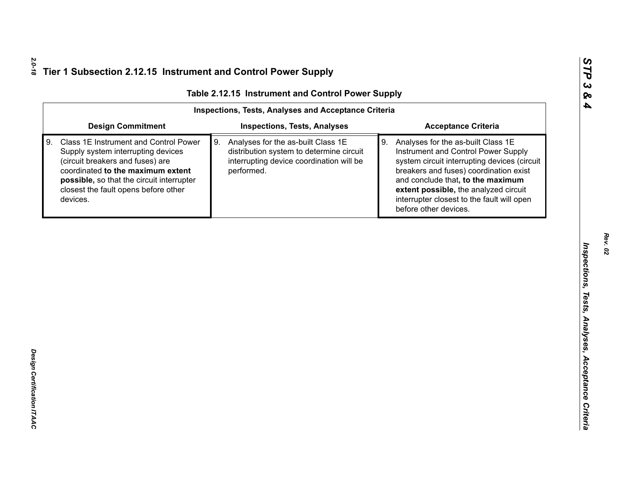| <b>Design Commitment</b><br><b>Inspections, Tests, Analyses</b><br><b>Acceptance Criteria</b>                                                                                                                                                                                                                                                                                                                                                                                                                                                                                                                                                                                                                                          |
|----------------------------------------------------------------------------------------------------------------------------------------------------------------------------------------------------------------------------------------------------------------------------------------------------------------------------------------------------------------------------------------------------------------------------------------------------------------------------------------------------------------------------------------------------------------------------------------------------------------------------------------------------------------------------------------------------------------------------------------|
|                                                                                                                                                                                                                                                                                                                                                                                                                                                                                                                                                                                                                                                                                                                                        |
| Class 1E Instrument and Control Power<br>9.<br>Analyses for the as-built Class 1E<br>9. Analyses for the as-built Class 1E<br>Supply system interrupting devices<br>distribution system to determine circuit<br>Instrument and Control Power Supply<br>interrupting device coordination will be<br>system circuit interrupting devices (circuit<br>(circuit breakers and fuses) are<br>coordinated to the maximum extent<br>performed.<br>breakers and fuses) coordination exist<br>possible, so that the circuit interrupter<br>and conclude that, to the maximum<br>closest the fault opens before other<br>extent possible, the analyzed circuit<br>interrupter closest to the fault will open<br>devices.<br>before other devices. |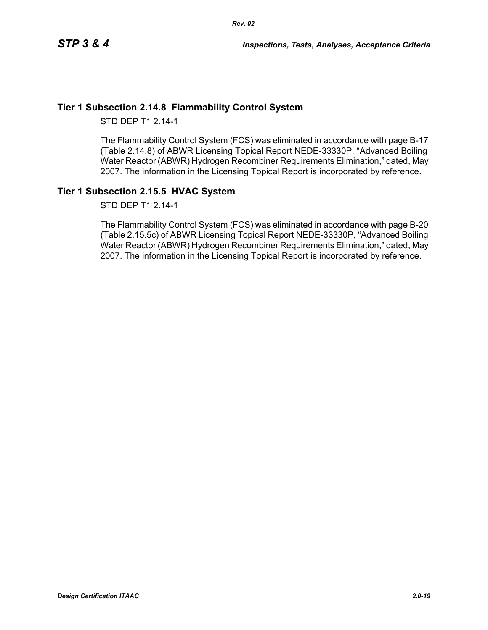### **Tier 1 Subsection 2.14.8 Flammability Control System**

STD DEP T1 2.14-1

The Flammability Control System (FCS) was eliminated in accordance with page B-17 (Table 2.14.8) of ABWR Licensing Topical Report NEDE-33330P, "Advanced Boiling Water Reactor (ABWR) Hydrogen Recombiner Requirements Elimination," dated, May 2007. The information in the Licensing Topical Report is incorporated by reference.

## **Tier 1 Subsection 2.15.5 HVAC System**

STD DEP T1 2.14-1

The Flammability Control System (FCS) was eliminated in accordance with page B-20 (Table 2.15.5c) of ABWR Licensing Topical Report NEDE-33330P, "Advanced Boiling Water Reactor (ABWR) Hydrogen Recombiner Requirements Elimination," dated, May 2007. The information in the Licensing Topical Report is incorporated by reference.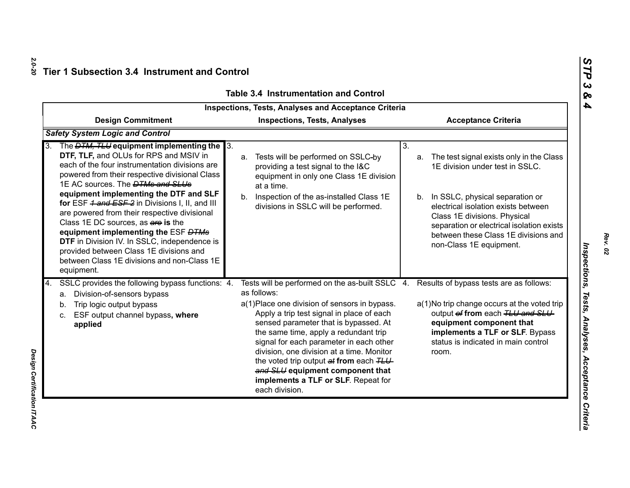|                                                                                                                                                                                                                                                                                                                                                                                                                                                                                                                                                                                                                                                      | <b>Inspections, Tests, Analyses and Acceptance Criteria</b>                                                                                                                                                                                                                                                                                                                                                                                                                                                            |                                                                                                                                                                                                                                                                                                                   |
|------------------------------------------------------------------------------------------------------------------------------------------------------------------------------------------------------------------------------------------------------------------------------------------------------------------------------------------------------------------------------------------------------------------------------------------------------------------------------------------------------------------------------------------------------------------------------------------------------------------------------------------------------|------------------------------------------------------------------------------------------------------------------------------------------------------------------------------------------------------------------------------------------------------------------------------------------------------------------------------------------------------------------------------------------------------------------------------------------------------------------------------------------------------------------------|-------------------------------------------------------------------------------------------------------------------------------------------------------------------------------------------------------------------------------------------------------------------------------------------------------------------|
| <b>Design Commitment</b>                                                                                                                                                                                                                                                                                                                                                                                                                                                                                                                                                                                                                             | <b>Inspections, Tests, Analyses</b>                                                                                                                                                                                                                                                                                                                                                                                                                                                                                    | <b>Acceptance Criteria</b>                                                                                                                                                                                                                                                                                        |
| <b>Safety System Logic and Control</b>                                                                                                                                                                                                                                                                                                                                                                                                                                                                                                                                                                                                               |                                                                                                                                                                                                                                                                                                                                                                                                                                                                                                                        |                                                                                                                                                                                                                                                                                                                   |
| The <i>DTM, TLU</i> equipment implementing the 3.<br><b>3.</b><br>DTF, TLF, and OLUs for RPS and MSIV in<br>each of the four instrumentation divisions are<br>powered from their respective divisional Class<br>1E AC sources. The <b>DTMs and SLUs</b><br>equipment implementing the DTF and SLF<br>for ESF 4 and ESF 2 in Divisions I, II, and III<br>are powered from their respective divisional<br>Class 1E DC sources, as are is the<br>equipment implementing the ESF <del>DTMs</del><br>DTF in Division IV. In SSLC, independence is<br>provided between Class 1E divisions and<br>between Class 1E divisions and non-Class 1E<br>equipment. | a. Tests will be performed on SSLC-by<br>providing a test signal to the I&C<br>equipment in only one Class 1E division<br>at a time.<br>Inspection of the as-installed Class 1E<br>b <sub>1</sub><br>divisions in SSLC will be performed.                                                                                                                                                                                                                                                                              | 3.<br>a. The test signal exists only in the Class<br>1E division under test in SSLC.<br>b. In SSLC, physical separation or<br>electrical isolation exists between<br>Class 1E divisions. Physical<br>separation or electrical isolation exists<br>between these Class 1E divisions and<br>non-Class 1E equipment. |
| SSLC provides the following bypass functions: 4.<br>Division-of-sensors bypass<br>а.<br>Trip logic output bypass<br>b.<br>ESF output channel bypass, where<br>c.<br>applied                                                                                                                                                                                                                                                                                                                                                                                                                                                                          | Tests will be performed on the as-built SSLC 4. Results of bypass tests are as follows:<br>as follows:<br>a(1) Place one division of sensors in bypass.<br>Apply a trip test signal in place of each<br>sensed parameter that is bypassed. At<br>the same time, apply a redundant trip<br>signal for each parameter in each other<br>division, one division at a time. Monitor<br>the voted trip output at from each TLU-<br>and SLU equipment component that<br>implements a TLF or SLF. Repeat for<br>each division. | a(1) No trip change occurs at the voted trip<br>output of from each TLU and SLU-<br>equipment component that<br>implements a TLF or SLF. Bypass<br>status is indicated in main control<br>room.                                                                                                                   |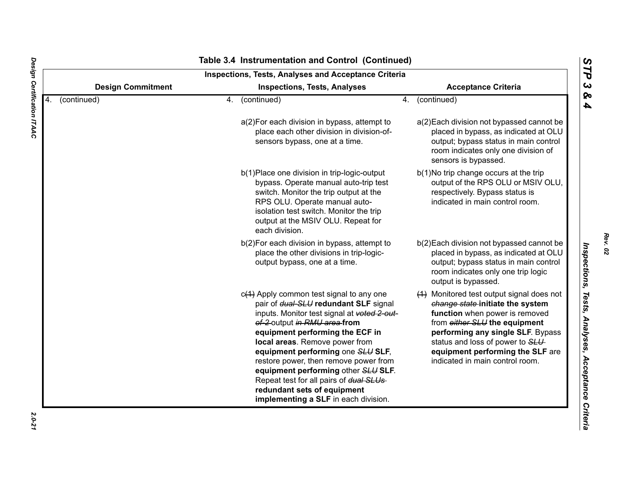|    |                          | Inspections, Tests, Analyses and Acceptance Criteria                                                                                                                                                                                                                                                                                                                                                                                                                           |                                                                                                                                                                                                                                                                                                  |
|----|--------------------------|--------------------------------------------------------------------------------------------------------------------------------------------------------------------------------------------------------------------------------------------------------------------------------------------------------------------------------------------------------------------------------------------------------------------------------------------------------------------------------|--------------------------------------------------------------------------------------------------------------------------------------------------------------------------------------------------------------------------------------------------------------------------------------------------|
|    | <b>Design Commitment</b> | <b>Inspections, Tests, Analyses</b>                                                                                                                                                                                                                                                                                                                                                                                                                                            | <b>Acceptance Criteria</b>                                                                                                                                                                                                                                                                       |
| 4. | (continued)              | (continued)<br>4.                                                                                                                                                                                                                                                                                                                                                                                                                                                              | (continued)<br>4.                                                                                                                                                                                                                                                                                |
|    |                          | a(2) For each division in bypass, attempt to<br>place each other division in division-of-<br>sensors bypass, one at a time.                                                                                                                                                                                                                                                                                                                                                    | a(2) Each division not bypassed cannot be<br>placed in bypass, as indicated at OLU<br>output; bypass status in main control<br>room indicates only one division of<br>sensors is bypassed.                                                                                                       |
|    |                          | b(1) Place one division in trip-logic-output<br>bypass. Operate manual auto-trip test<br>switch. Monitor the trip output at the<br>RPS OLU. Operate manual auto-<br>isolation test switch. Monitor the trip<br>output at the MSIV OLU. Repeat for<br>each division.                                                                                                                                                                                                            | b(1)No trip change occurs at the trip<br>output of the RPS OLU or MSIV OLU,<br>respectively. Bypass status is<br>indicated in main control room.                                                                                                                                                 |
|    |                          | b(2) For each division in bypass, attempt to<br>place the other divisions in trip-logic-<br>output bypass, one at a time.                                                                                                                                                                                                                                                                                                                                                      | b(2) Each division not bypassed cannot be<br>placed in bypass, as indicated at OLU<br>output; bypass status in main control<br>room indicates only one trip logic<br>output is bypassed.                                                                                                         |
|    |                          | $c(1)$ Apply common test signal to any one<br>pair of dual-SLU redundant SLF signal<br>inputs. Monitor test signal at voted 2-out-<br>of-2-output in RMU area-from<br>equipment performing the ECF in<br>local areas. Remove power from<br>equipment performing one SLU SLF,<br>restore power, then remove power from<br>equipment performing other SLU SLF.<br>Repeat test for all pairs of dual SLUs-<br>redundant sets of equipment<br>implementing a SLF in each division. | (1) Monitored test output signal does not<br>change state-initiate the system<br>function when power is removed<br>from either SLU the equipment<br>performing any single SLF. Bypass<br>status and loss of power to SLU-<br>equipment performing the SLF are<br>indicated in main control room. |

# Design Certification ITAAC *Design Certification ITAAC 2.0-21*

*Rev. 02*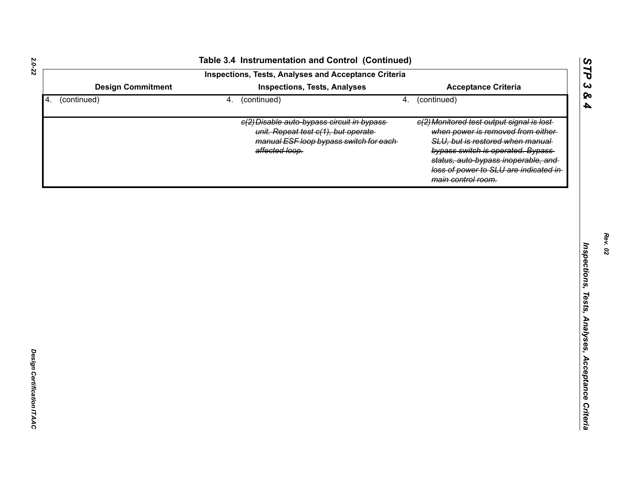|                          |    | Table 3.4 Instrumentation and Control (Continued)<br>Inspections, Tests, Analyses and Acceptance Criteria                                       |    |                                                                                                                                                                                                                                                                   |
|--------------------------|----|-------------------------------------------------------------------------------------------------------------------------------------------------|----|-------------------------------------------------------------------------------------------------------------------------------------------------------------------------------------------------------------------------------------------------------------------|
| <b>Design Commitment</b> |    | <b>Inspections, Tests, Analyses</b>                                                                                                             |    | <b>Acceptance Criteria</b>                                                                                                                                                                                                                                        |
| (continued)<br>4.        | 4. | (continued)                                                                                                                                     | 4. | (continued)                                                                                                                                                                                                                                                       |
|                          |    | e(2) Disable auto-bypass circuit in bypass-<br>unit. Repeat test c(1), but operate<br>manual ESF loop bypass switch for each-<br>affected loop. |    | e(2) Monitored test output signal is lost-<br>when power is removed from either-<br>SLU, but is restored when manual<br>bypass switch is operated. Bypass-<br>status, auto-bypass inoperable, and<br>loss of power to SLU are indicated in-<br>main control room. |
|                          |    |                                                                                                                                                 |    |                                                                                                                                                                                                                                                                   |
|                          |    |                                                                                                                                                 |    |                                                                                                                                                                                                                                                                   |
|                          |    |                                                                                                                                                 |    |                                                                                                                                                                                                                                                                   |
|                          |    |                                                                                                                                                 |    |                                                                                                                                                                                                                                                                   |
|                          |    |                                                                                                                                                 |    |                                                                                                                                                                                                                                                                   |
|                          |    |                                                                                                                                                 |    |                                                                                                                                                                                                                                                                   |
|                          |    |                                                                                                                                                 |    |                                                                                                                                                                                                                                                                   |
|                          |    |                                                                                                                                                 |    |                                                                                                                                                                                                                                                                   |
|                          |    |                                                                                                                                                 |    |                                                                                                                                                                                                                                                                   |
|                          |    |                                                                                                                                                 |    |                                                                                                                                                                                                                                                                   |

*STP 3 & 4*